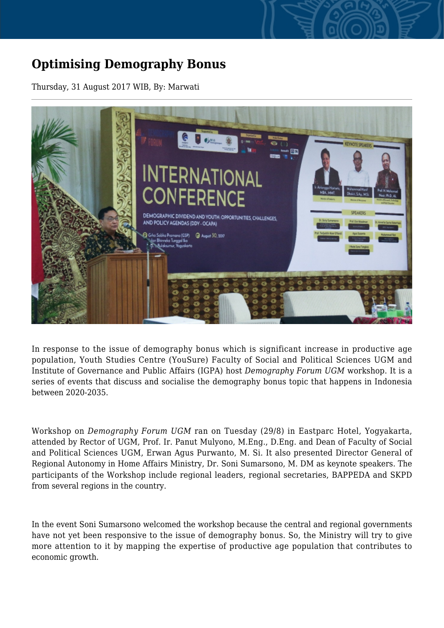## **Optimising Demography Bonus**

Thursday, 31 August 2017 WIB, By: Marwati



In response to the issue of demography bonus which is significant increase in productive age population, Youth Studies Centre (YouSure) Faculty of Social and Political Sciences UGM and Institute of Governance and Public Affairs (IGPA) host *Demography Forum UGM* workshop. It is a series of events that discuss and socialise the demography bonus topic that happens in Indonesia between 2020-2035.

Workshop on *Demography Forum UGM* ran on Tuesday (29/8) in Eastparc Hotel, Yogyakarta, attended by Rector of UGM, Prof. Ir. Panut Mulyono, M.Eng., D.Eng. and Dean of Faculty of Social and Political Sciences UGM, Erwan Agus Purwanto, M. Si. It also presented Director General of Regional Autonomy in Home Affairs Ministry, Dr. Soni Sumarsono, M. DM as keynote speakers. The participants of the Workshop include regional leaders, regional secretaries, BAPPEDA and SKPD from several regions in the country.

In the event Soni Sumarsono welcomed the workshop because the central and regional governments have not yet been responsive to the issue of demography bonus. So, the Ministry will try to give more attention to it by mapping the expertise of productive age population that contributes to economic growth.